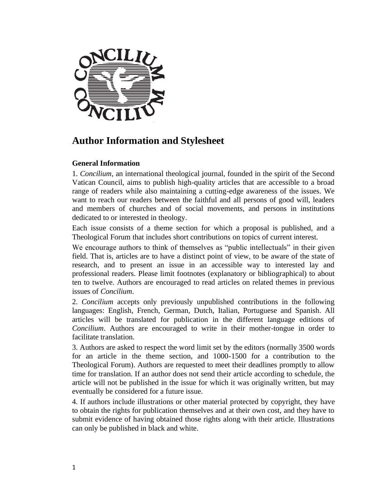

# **Author Information and Stylesheet**

## **General Information**

1. *Concilium*, an international theological journal, founded in the spirit of the Second Vatican Council, aims to publish high-quality articles that are accessible to a broad range of readers while also maintaining a cutting-edge awareness of the issues. We want to reach our readers between the faithful and all persons of good will, leaders and members of churches and of social movements, and persons in institutions dedicated to or interested in theology.

Each issue consists of a theme section for which a proposal is published, and a Theological Forum that includes short contributions on topics of current interest.

We encourage authors to think of themselves as "public intellectuals" in their given field. That is, articles are to have a distinct point of view, to be aware of the state of research, and to present an issue in an accessible way to interested lay and professional readers. Please limit footnotes (explanatory or bibliographical) to about ten to twelve. Authors are encouraged to read articles on related themes in previous issues of *Concilium*.

2. *Concilium* accepts only previously unpublished contributions in the following languages: English, French, German, Dutch, Italian, Portuguese and Spanish. All articles will be translated for publication in the different language editions of *Concilium*. Authors are encouraged to write in their mother-tongue in order to facilitate translation.

3. Authors are asked to respect the word limit set by the editors (normally 3500 words for an article in the theme section, and 1000-1500 for a contribution to the Theological Forum). Authors are requested to meet their deadlines promptly to allow time for translation. If an author does not send their article according to schedule, the article will not be published in the issue for which it was originally written, but may eventually be considered for a future issue.

4. If authors include illustrations or other material protected by copyright, they have to obtain the rights for publication themselves and at their own cost, and they have to submit evidence of having obtained those rights along with their article. Illustrations can only be published in black and white.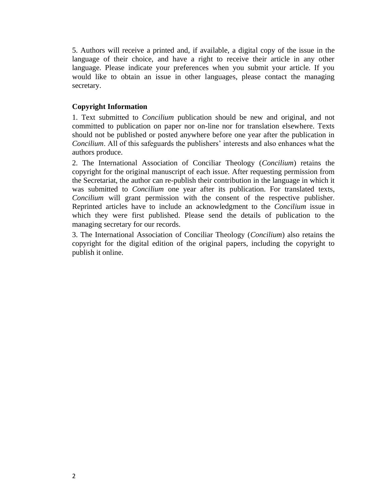5. Authors will receive a printed and, if available, a digital copy of the issue in the language of their choice, and have a right to receive their article in any other language. Please indicate your preferences when you submit your article. If you would like to obtain an issue in other languages, please contact the managing secretary.

## **Copyright Information**

1. Text submitted to *Concilium* publication should be new and original, and not committed to publication on paper nor on-line nor for translation elsewhere. Texts should not be published or posted anywhere before one year after the publication in *Concilium*. All of this safeguards the publishers' interests and also enhances what the authors produce.

2. The International Association of Conciliar Theology (*Concilium*) retains the copyright for the original manuscript of each issue. After requesting permission from the Secretariat, the author can re-publish their contribution in the language in which it was submitted to *Concilium* one year after its publication. For translated texts, *Concilium* will grant permission with the consent of the respective publisher. Reprinted articles have to include an acknowledgment to the *Concilium* issue in which they were first published. Please send the details of publication to the managing secretary for our records.

3. The International Association of Conciliar Theology (*Concilium*) also retains the copyright for the digital edition of the original papers, including the copyright to publish it online.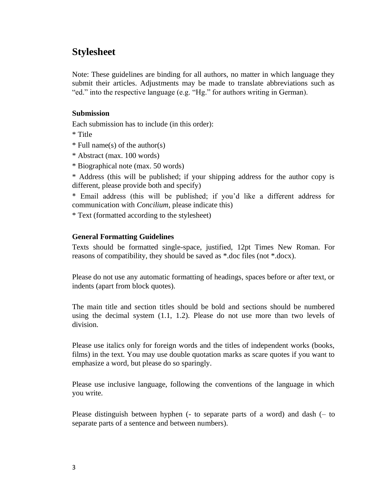## **Stylesheet**

Note: These guidelines are binding for all authors, no matter in which language they submit their articles. Adjustments may be made to translate abbreviations such as "ed." into the respective language (e.g. "Hg." for authors writing in German).

## **Submission**

Each submission has to include (in this order):

- \* Title
- \* Full name(s) of the author(s)
- \* Abstract (max. 100 words)
- \* Biographical note (max. 50 words)

\* Address (this will be published; if your shipping address for the author copy is different, please provide both and specify)

\* Email address (this will be published; if you'd like a different address for communication with *Concilium*, please indicate this)

\* Text (formatted according to the stylesheet)

#### **General Formatting Guidelines**

Texts should be formatted single-space, justified, 12pt Times New Roman. For reasons of compatibility, they should be saved as \*.doc files (not \*.docx).

Please do not use any automatic formatting of headings, spaces before or after text, or indents (apart from block quotes).

The main title and section titles should be bold and sections should be numbered using the decimal system  $(1.1, 1.2)$ . Please do not use more than two levels of division.

Please use italics only for foreign words and the titles of independent works (books, films) in the text. You may use double quotation marks as scare quotes if you want to emphasize a word, but please do so sparingly.

Please use inclusive language, following the conventions of the language in which you write.

Please distinguish between hyphen (- to separate parts of a word) and dash (– to separate parts of a sentence and between numbers).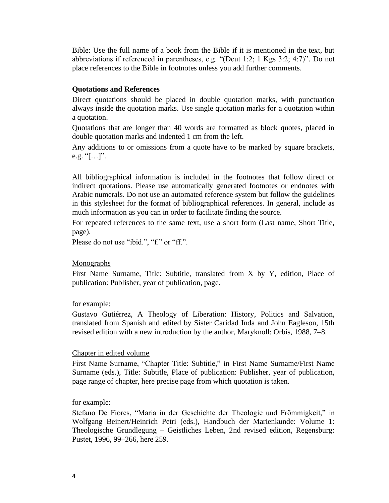Bible: Use the full name of a book from the Bible if it is mentioned in the text, but abbreviations if referenced in parentheses, e.g. "(Deut 1:2; 1 Kgs 3:2; 4:7)". Do not place references to the Bible in footnotes unless you add further comments.

## **Quotations and References**

Direct quotations should be placed in double quotation marks, with punctuation always inside the quotation marks. Use single quotation marks for a quotation within a quotation.

Quotations that are longer than 40 words are formatted as block quotes, placed in double quotation marks and indented 1 cm from the left.

Any additions to or omissions from a quote have to be marked by square brackets, e.g.  $\lbrack \lbrack \ldots \rbrack \rbrack$ ".

All bibliographical information is included in the footnotes that follow direct or indirect quotations. Please use automatically generated footnotes or endnotes with Arabic numerals. Do not use an automated reference system but follow the guidelines in this stylesheet for the format of bibliographical references. In general, include as much information as you can in order to facilitate finding the source.

For repeated references to the same text, use a short form (Last name, Short Title, page).

Please do not use "ibid.", "f." or "ff.".

## Monographs

First Name Surname, Title: Subtitle, translated from X by Y, edition, Place of publication: Publisher, year of publication, page.

## for example:

Gustavo Gutiérrez, A Theology of Liberation: History, Politics and Salvation, translated from Spanish and edited by Sister Caridad Inda and John Eagleson, 15th revised edition with a new introduction by the author, Maryknoll: Orbis, 1988, 7–8.

## Chapter in edited volume

First Name Surname, "Chapter Title: Subtitle," in First Name Surname/First Name Surname (eds.), Title: Subtitle, Place of publication: Publisher, year of publication, page range of chapter, here precise page from which quotation is taken.

## for example:

Stefano De Fiores, "Maria in der Geschichte der Theologie und Frömmigkeit," in Wolfgang Beinert/Heinrich Petri (eds.), Handbuch der Marienkunde: Volume 1: Theologische Grundlegung – Geistliches Leben, 2nd revised edition, Regensburg: Pustet, 1996, 99–266, here 259.